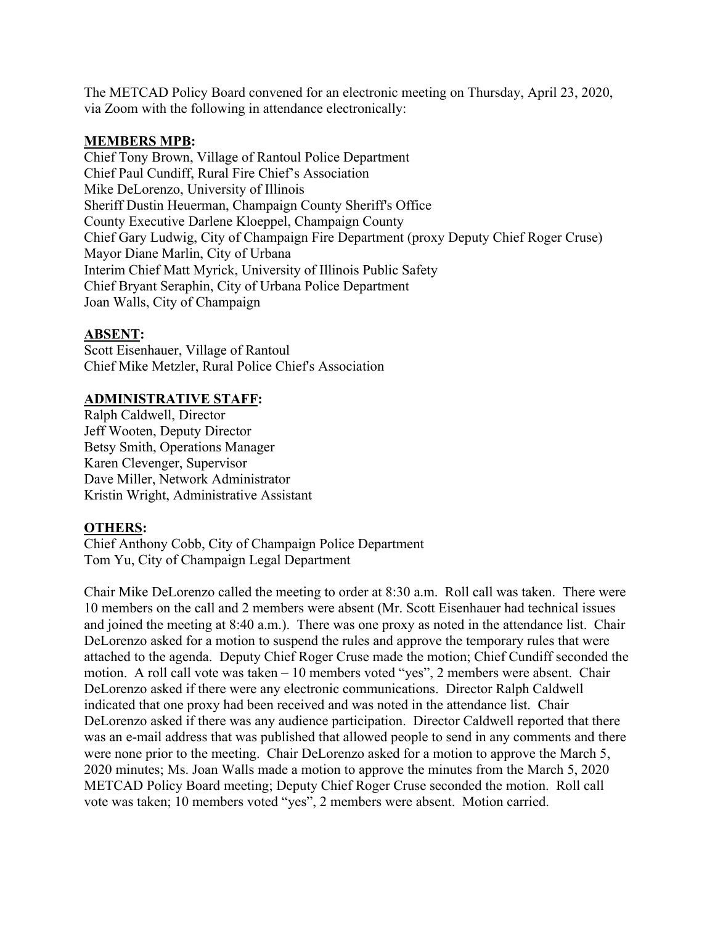The METCAD Policy Board convened for an electronic meeting on Thursday, April 23, 2020, via Zoom with the following in attendance electronically:

## **MEMBERS MPB:**

Chief Tony Brown, Village of Rantoul Police Department Chief Paul Cundiff, Rural Fire Chief's Association Mike DeLorenzo, University of Illinois Sheriff Dustin Heuerman, Champaign County Sheriff's Office County Executive Darlene Kloeppel, Champaign County Chief Gary Ludwig, City of Champaign Fire Department (proxy Deputy Chief Roger Cruse) Mayor Diane Marlin, City of Urbana Interim Chief Matt Myrick, University of Illinois Public Safety Chief Bryant Seraphin, City of Urbana Police Department Joan Walls, City of Champaign

## **ABSENT:**

Scott Eisenhauer, Village of Rantoul Chief Mike Metzler, Rural Police Chief's Association

## **ADMINISTRATIVE STAFF:**

Ralph Caldwell, Director Jeff Wooten, Deputy Director Betsy Smith, Operations Manager Karen Clevenger, Supervisor Dave Miller, Network Administrator Kristin Wright, Administrative Assistant

## **OTHERS:**

Chief Anthony Cobb, City of Champaign Police Department Tom Yu, City of Champaign Legal Department

Chair Mike DeLorenzo called the meeting to order at 8:30 a.m. Roll call was taken. There were 10 members on the call and 2 members were absent (Mr. Scott Eisenhauer had technical issues and joined the meeting at 8:40 a.m.). There was one proxy as noted in the attendance list. Chair DeLorenzo asked for a motion to suspend the rules and approve the temporary rules that were attached to the agenda. Deputy Chief Roger Cruse made the motion; Chief Cundiff seconded the motion. A roll call vote was taken – 10 members voted "yes", 2 members were absent. Chair DeLorenzo asked if there were any electronic communications. Director Ralph Caldwell indicated that one proxy had been received and was noted in the attendance list. Chair DeLorenzo asked if there was any audience participation. Director Caldwell reported that there was an e-mail address that was published that allowed people to send in any comments and there were none prior to the meeting. Chair DeLorenzo asked for a motion to approve the March 5, 2020 minutes; Ms. Joan Walls made a motion to approve the minutes from the March 5, 2020 METCAD Policy Board meeting; Deputy Chief Roger Cruse seconded the motion. Roll call vote was taken; 10 members voted "yes", 2 members were absent. Motion carried.